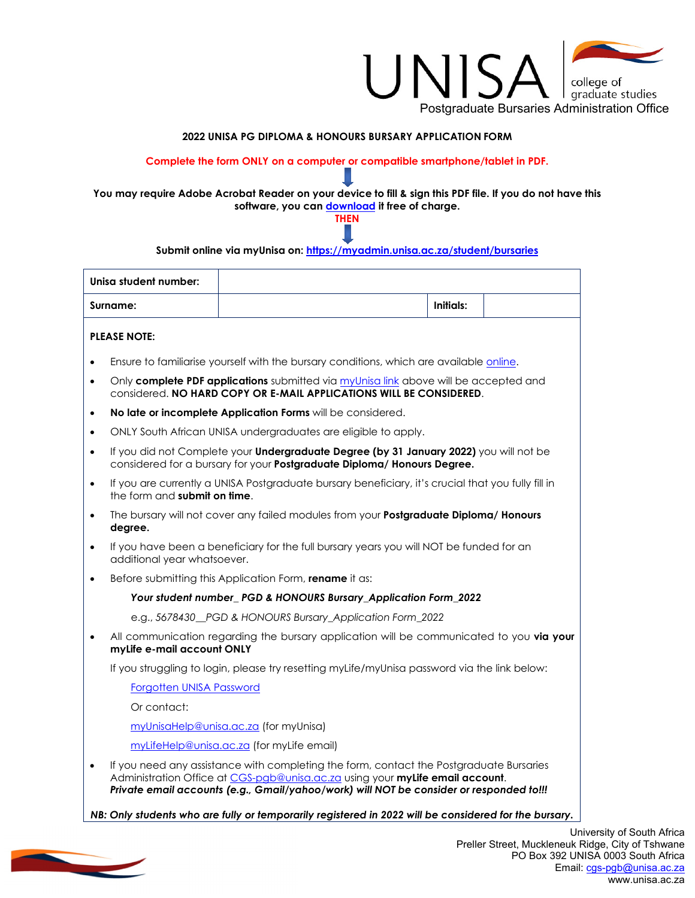

### **2022 UNISA PG DIPLOMA & HONOURS BURSARY APPLICATION FORM**

#### **Complete the form ONLY on a computer or compatible smartphone/tablet in PDF.**

**You may require Adobe Acrobat Reader on your device to fill & sign this PDF file. If you do not have this software, you can [download](http://www.adobe.com/products/acrobat/readstep2.html) it free of charge.** 

**THEN** 

# **Submit online via myUnisa on:<https://myadmin.unisa.ac.za/student/bursaries>**

| Unisa student number: |                                                                                                                                                                          |                                                                                                                                                                                                                                                                     |           |  |  |  |
|-----------------------|--------------------------------------------------------------------------------------------------------------------------------------------------------------------------|---------------------------------------------------------------------------------------------------------------------------------------------------------------------------------------------------------------------------------------------------------------------|-----------|--|--|--|
| Surname:              |                                                                                                                                                                          |                                                                                                                                                                                                                                                                     | Initials: |  |  |  |
| <b>PLEASE NOTE:</b>   |                                                                                                                                                                          |                                                                                                                                                                                                                                                                     |           |  |  |  |
| $\bullet$             | Ensure to familiarise yourself with the bursary conditions, which are available online.                                                                                  |                                                                                                                                                                                                                                                                     |           |  |  |  |
| $\bullet$             | Only complete PDF applications submitted via myUnisa link above will be accepted and<br>considered. NO HARD COPY OR E-MAIL APPLICATIONS WILL BE CONSIDERED.              |                                                                                                                                                                                                                                                                     |           |  |  |  |
| $\bullet$             | No late or incomplete Application Forms will be considered.                                                                                                              |                                                                                                                                                                                                                                                                     |           |  |  |  |
| $\bullet$             | ONLY South African UNISA undergraduates are eligible to apply.                                                                                                           |                                                                                                                                                                                                                                                                     |           |  |  |  |
| $\bullet$             | If you did not Complete your <b>Undergraduate Degree (by 31 January 2022)</b> you will not be<br>considered for a bursary for your Postgraduate Diploma/ Honours Degree. |                                                                                                                                                                                                                                                                     |           |  |  |  |
| $\bullet$             | If you are currently a UNISA Postgraduate bursary beneficiary, it's crucial that you fully fill in<br>the form and submit on time.                                       |                                                                                                                                                                                                                                                                     |           |  |  |  |
| $\bullet$             | The bursary will not cover any failed modules from your <b>Postgraduate Diploma/ Honours</b><br>degree.                                                                  |                                                                                                                                                                                                                                                                     |           |  |  |  |
| $\bullet$             | If you have been a beneficiary for the full bursary years you will NOT be funded for an<br>additional year whatsoever.                                                   |                                                                                                                                                                                                                                                                     |           |  |  |  |
| $\bullet$             | Before submitting this Application Form, rename it as:                                                                                                                   |                                                                                                                                                                                                                                                                     |           |  |  |  |
|                       | Your student number_PGD & HONOURS Bursary_Application Form_2022                                                                                                          |                                                                                                                                                                                                                                                                     |           |  |  |  |
|                       |                                                                                                                                                                          | e.g., 5678430_PGD & HONOURS Bursary_Application Form_2022                                                                                                                                                                                                           |           |  |  |  |
| $\bullet$             | All communication regarding the bursary application will be communicated to you via your<br>myLife e-mail account ONLY                                                   |                                                                                                                                                                                                                                                                     |           |  |  |  |
|                       |                                                                                                                                                                          | If you struggling to login, please try resetting myLife/myUnisa password via the link below:                                                                                                                                                                        |           |  |  |  |
|                       | Forgotten UNISA Password                                                                                                                                                 |                                                                                                                                                                                                                                                                     |           |  |  |  |
|                       | Or contact:                                                                                                                                                              |                                                                                                                                                                                                                                                                     |           |  |  |  |
|                       |                                                                                                                                                                          | myUnisaHelp@unisa.ac.za (for myUnisa)                                                                                                                                                                                                                               |           |  |  |  |
|                       |                                                                                                                                                                          | myLifeHelp@unisa.ac.za (for myLife email)                                                                                                                                                                                                                           |           |  |  |  |
| $\bullet$             |                                                                                                                                                                          | If you need any assistance with completing the form, contact the Postgraduate Bursaries<br>Administration Office at CGS-pab@unisa.ac.za using your mylife email account.<br>Private email accounts (e.g., Gmail/yahoo/work) will NOT be consider or responded to!!! |           |  |  |  |
|                       | NB: Only students who are fully or temporarily registered in 2022 will be considered for the bursary.                                                                    |                                                                                                                                                                                                                                                                     |           |  |  |  |